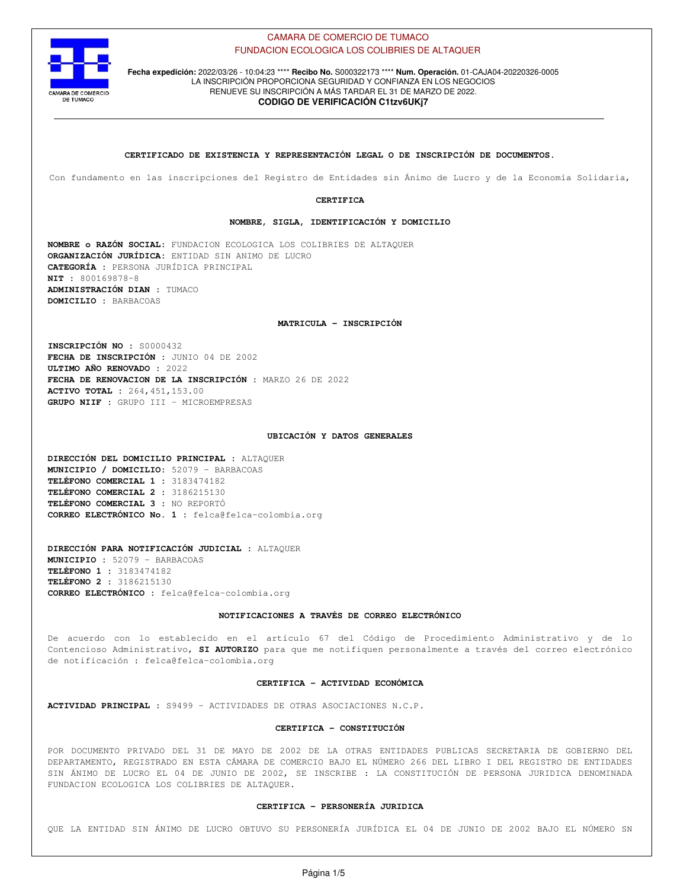

**Fecha expedición:** 2022/03/26 - 10:04:23 \*\*\*\* **Recibo No.** S000322173 \*\*\*\* **Num. Operación.** 01-CAJA04-20220326-0005 LA INSCRIPCIÓN PROPORCIONA SEGURIDAD Y CONFIANZA EN LOS NEGOCIOS RENUEVE SU INSCRIPCIÓN A MÁS TARDAR EL 31 DE MARZO DE 2022. **CODIGO DE VERIFICACIÓN C1tzv6UKj7**

**CERTIFICADO DE EXISTENCIA Y REPRESENTACIÓN LEGAL O DE INSCRIPCIÓN DE DOCUMENTOS.**

Con fundamento en las inscripciones del Registro de Entidades sin Ánimo de Lucro y de la Economía Solidaria,

**CERTIFICA**

**NOMBRE, SIGLA, IDENTIFICACIÓN Y DOMICILIO**

**NOMBRE o RAZÓN SOCIAL:** FUNDACION ECOLOGICA LOS COLIBRIES DE ALTAQUER **ORGANIZACIÓN JURÍDICA:** ENTIDAD SIN ANIMO DE LUCRO **CATEGORÍA :** PERSONA JURÍDICA PRINCIPAL **NIT :** 800169878-8 **ADMINISTRACIÓN DIAN :** TUMACO **DOMICILIO :** BARBACOAS

**MATRICULA - INSCRIPCIÓN**

**INSCRIPCIÓN NO :** S0000432 **FECHA DE INSCRIPCIÓN :** JUNIO 04 DE 2002 **ULTIMO AÑO RENOVADO :** 2022 **FECHA DE RENOVACION DE LA INSCRIPCIÓN :** MARZO 26 DE 2022 **ACTIVO TOTAL :** 264,451,153.00 **GRUPO NIIF :** GRUPO III - MICROEMPRESAS

### **UBICACIÓN Y DATOS GENERALES**

**DIRECCIÓN DEL DOMICILIO PRINCIPAL :** ALTAQUER **MUNICIPIO / DOMICILIO:** 52079 - BARBACOAS **TELÉFONO COMERCIAL 1 :** 3183474182 **TELÉFONO COMERCIAL 2 :** 3186215130 **TELÉFONO COMERCIAL 3 :** NO REPORTÓ **CORREO ELECTRÓNICO No. 1 :** felca@felca-colombia.org

**DIRECCIÓN PARA NOTIFICACIÓN JUDICIAL :** ALTAQUER **MUNICIPIO :** 52079 - BARBACOAS **TELÉFONO 1 :** 3183474182 **TELÉFONO 2 :** 3186215130 **CORREO ELECTRÓNICO :** felca@felca-colombia.org

# **NOTIFICACIONES A TRAVÉS DE CORREO ELECTRÓNICO**

De acuerdo con lo establecido en el artículo 67 del Código de Procedimiento Administrativo y de lo Contencioso Administrativo, **SI AUTORIZO** para que me notifiquen personalmente a través del correo electrónico de notificación : felca@felca-colombia.org

### **CERTIFICA - ACTIVIDAD ECONÓMICA**

**ACTIVIDAD PRINCIPAL :** S9499 - ACTIVIDADES DE OTRAS ASOCIACIONES N.C.P.

### **CERTIFICA - CONSTITUCIÓN**

POR DOCUMENTO PRIVADO DEL 31 DE MAYO DE 2002 DE LA OTRAS ENTIDADES PUBLICAS SECRETARIA DE GOBIERNO DEL DEPARTAMENTO, REGISTRADO EN ESTA CÁMARA DE COMERCIO BAJO EL NÚMERO 266 DEL LIBRO I DEL REGISTRO DE ENTIDADES SIN ÁNIMO DE LUCRO EL 04 DE JUNIO DE 2002, SE INSCRIBE : LA CONSTITUCIÓN DE PERSONA JURIDICA DENOMINADA FUNDACION ECOLOGICA LOS COLIBRIES DE ALTAQUER.

### **CERTIFICA - PERSONERÍA JURIDICA**

QUE LA ENTIDAD SIN ÁNIMO DE LUCRO OBTUVO SU PERSONERÍA JURÍDICA EL 04 DE JUNIO DE 2002 BAJO EL NÚMERO SN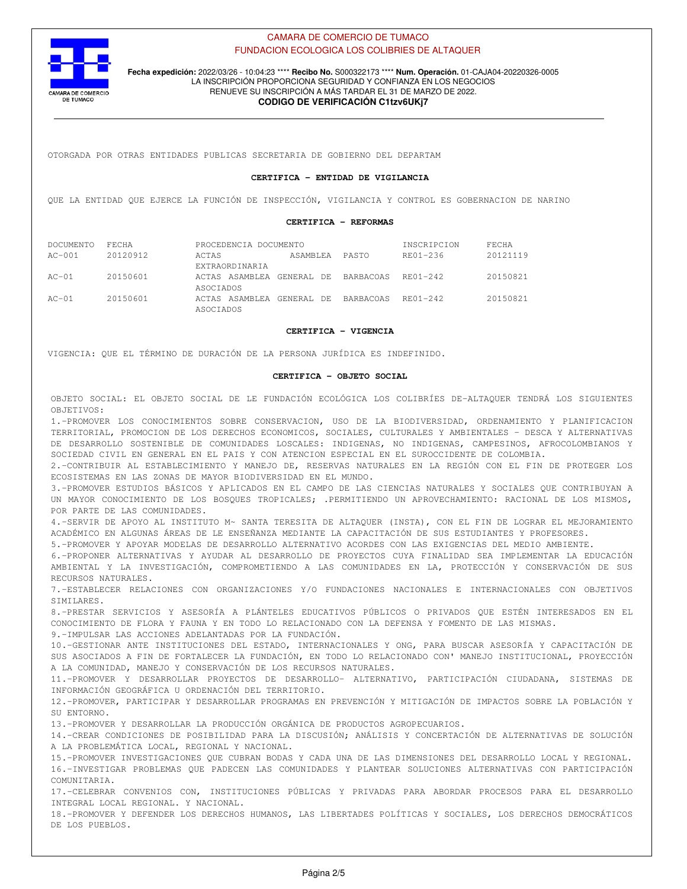

**Fecha expedición:** 2022/03/26 - 10:04:23 \*\*\*\* **Recibo No.** S000322173 \*\*\*\* **Num. Operación.** 01-CAJA04-20220326-0005 LA INSCRIPCIÓN PROPORCIONA SEGURIDAD Y CONFIANZA EN LOS NEGOCIOS RENUEVE SU INSCRIPCIÓN A MÁS TARDAR EL 31 DE MARZO DE 2022.

# **CODIGO DE VERIFICACIÓN C1tzv6UKj7**

OTORGADA POR OTRAS ENTIDADES PUBLICAS SECRETARIA DE GOBIERNO DEL DEPARTAM

# **CERTIFICA - ENTIDAD DE VIGILANCIA**

QUE LA ENTIDAD QUE EJERCE LA FUNCIÓN DE INSPECCIÓN, VIGILANCIA Y CONTROL ES GOBERNACION DE NARINO

# **CERTIFICA - REFORMAS**

| DOCUMENTO | FECHA    | PROCEDENCIA DOCUMENTO |            | INSCRIPCION | FECHA              |          |
|-----------|----------|-----------------------|------------|-------------|--------------------|----------|
| $AC-001$  | 20120912 | ACTAS                 | ASAMBLEA   | PASTO       | $R$ $R$ $01 - 236$ | 20121119 |
|           |          | EXTRAORDINARIA        |            |             |                    |          |
| $AC-01$   | 20150601 | ACTAS ASAMBLEA        | GENERAL DE | BARBACOAS   | RE01-242           | 20150821 |
|           |          | ASOCIADOS             |            |             |                    |          |
| $AC-01$   | 20150601 | ACTAS ASAMBLEA        | GENERAL DE | BARBACOAS   | RE01-242           | 20150821 |
|           |          | ASOCTADOS             |            |             |                    |          |

### **CERTIFICA - VIGENCIA**

VIGENCIA: QUE EL TÉRMINO DE DURACIÓN DE LA PERSONA JURÍDICA ES INDEFINIDO.

### **CERTIFICA - OBJETO SOCIAL**

OBJETO SOCIAL: EL OBJETO SOCIAL DE LE FUNDACIÓN ECOLÓGICA LOS COLIBRÍES DE-ALTAQUER TENDRÁ LOS SIGUIENTES OBJETIVOS:

1.-PROMOVER LOS CONOCIMIENTOS SOBRE CONSERVACION, USO DE LA BIODIVERSIDAD, ORDENAMIENTO Y PLANIFICACION TERRITORIAL, PROMOCION DE LOS DERECHOS ECONOMICOS, SOCIALES, CULTURALES Y AMBIENTALES - DESCA Y ALTERNATIVAS DE DESARROLLO SOSTENIBLE DE COMUNIDADES LOSCALES: INDIGENAS, NO INDIGENAS, CAMPESINOS, AFROCOLOMBIANOS Y SOCIEDAD CIVIL EN GENERAL EN EL PAIS Y CON ATENCION ESPECIAL EN EL SUROCCIDENTE DE COLOMBIA.

2.-CONTRIBUIR AL ESTABLECIMIENTO Y MANEJO DE, RESERVAS NATURALES EN LA REGIÓN CON EL FIN DE PROTEGER LOS ECOSISTEMAS EN LAS ZONAS DE MAYOR BIODIVERSIDAD EN EL MUNDO.

3.-PROMOVER ESTUDIOS BÁSICOS Y APLICADOS EN EL CAMPO DE LAS CIENCIAS NATURALES Y SOCIALES QUE CONTRIBUYAN A UN MAYOR CONOCIMIENTO DE LOS BOSQUES TROPICALES; .PERMITIENDO UN APROVECHAMIENTO: RACIONAL DE LOS MISMOS, POR PARTE DE LAS COMUNIDADES.

4.-SERVIR DE APOYO AL INSTITUTO M~ SANTA TERESITA DE ALTAQUER (INSTA), CON EL FIN DE LOGRAR EL MEJORAMIENTO ACADÉMICO EN ALGUNAS ÁREAS DE LE ENSEÑANZA MEDIANTE LA CAPACITACIÓN DE SUS ESTUDIANTES Y PROFESORES.

5.-PROMOVER Y APOYAR MODELAS DE DESARROLLO ALTERNATIVO ACORDES CON LAS EXIGENCIAS DEL MEDIO AMBIENTE.

6.-PROPONER ALTERNATIVAS Y AYUDAR AL DESARROLLO DE PROYECTOS CUYA FINALIDAD SEA IMPLEMENTAR LA EDUCACIÓN AMBIENTAL Y LA INVESTIGACIÓN, COMPROMETIENDO A LAS COMUNIDADES EN LA, PROTECCIÓN Y CONSERVACIÓN DE SUS RECURSOS NATURALES.

7.-ESTABLECER RELACIONES CON ORGANIZACIONES Y/O FUNDACIONES NACIONALES E INTERNACIONALES CON OBJETIVOS SIMILARES.

8.-PRESTAR SERVICIOS Y ASESORÍA A PLÁNTELES EDUCATIVOS PÚBLICOS O PRIVADOS QUE ESTÉN INTERESADOS EN EL CONOCIMIENTO DE FLORA Y FAUNA Y EN TODO LO RELACIONADO CON LA DEFENSA Y FOMENTO DE LAS MISMAS.

9.-IMPULSAR LAS ACCIONES ADELANTADAS POR LA FUNDACIÓN.

10.-GESTIONAR ANTE INSTITUCIONES DEL ESTADO, INTERNACIONALES Y ONG, PARA BUSCAR ASESORÍA Y CAPACITACIÓN DE SUS ASOCIADOS A FIN DE FORTALECER LA FUNDACIÓN, EN TODO LO RELACIONADO CON' MANEJO INSTITUCIONAL, PROYECCIÓN A LA COMUNIDAD, MANEJO Y CONSERVACIÓN DE LOS RECURSOS NATURALES.

11.-PROMOVER Y DESARROLLAR PROYECTOS DE DESARROLLO- ALTERNATIVO, PARTICIPACIÓN CIUDADANA, SISTEMAS DE INFORMACIÓN GEOGRÁFICA U ORDENACIÓN DEL TERRITORIO.

12.-PROMOVER, PARTICIPAR Y DESARROLLAR PROGRAMAS EN PREVENCIÓN Y MITIGACIÓN DE IMPACTOS SOBRE LA POBLACIÓN Y SU ENTORNO.

13.-PROMOVER Y DESARROLLAR LA PRODUCCIÓN ORGÁNICA DE PRODUCTOS AGROPECUARIOS.

14.-CREAR CONDICIONES DE POSIBILIDAD PARA LA DISCUSIÓN; ANÁLISIS Y CONCERTACIÓN DE ALTERNATIVAS DE SOLUCIÓN A LA PROBLEMÁTICA LOCAL, REGIONAL Y NACIONAL.

15.-PROMOVER INVESTIGACIONES QUE CUBRAN BODAS Y CADA UNA DE LAS DIMENSIONES DEL DESARROLLO LOCAL Y REGIONAL. 16.-INVESTIGAR PROBLEMAS QUE PADECEN LAS COMUNIDADES Y PLANTEAR SOLUCIONES ALTERNATIVAS CON PARTICIPACIÓN COMUNITARIA.

17.-CELEBRAR CONVENIOS CON, INSTITUCIONES PÚBLICAS Y PRIVADAS PARA ABORDAR PROCESOS PARA EL DESARROLLO INTEGRAL LOCAL REGIONAL. Y NACIONAL.

18.-PROMOVER Y DEFENDER LOS DERECHOS HUMANOS, LAS LIBERTADES POLÍTICAS Y SOCIALES, LOS DERECHOS DEMOCRÁTICOS DE LOS PUEBLOS.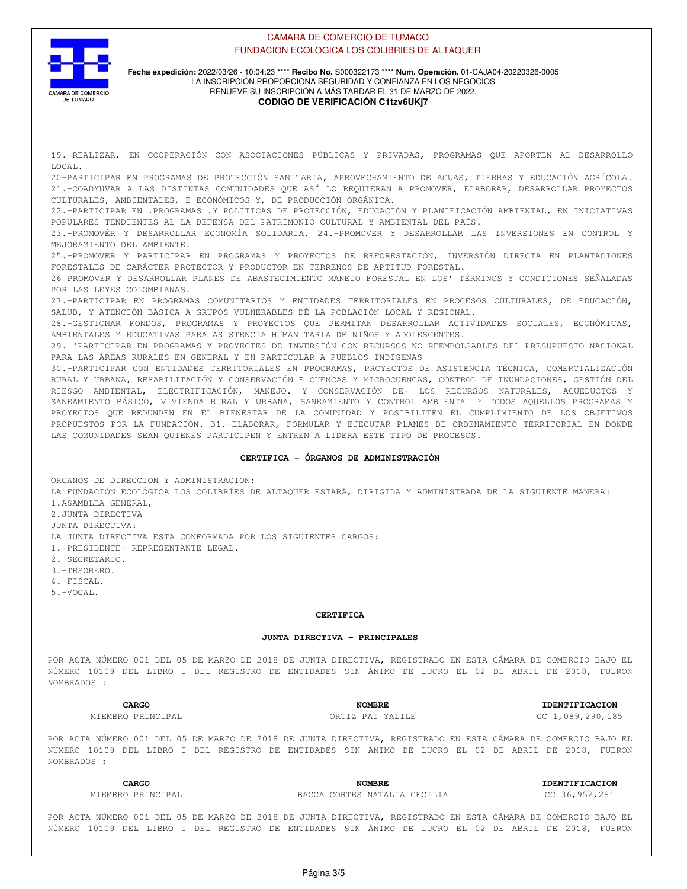

# **Fecha expedición:** 2022/03/26 - 10:04:23 \*\*\*\* **Recibo No.** S000322173 \*\*\*\* **Num. Operación.** 01-CAJA04-20220326-0005 LA INSCRIPCIÓN PROPORCIONA SEGURIDAD Y CONFIANZA EN LOS NEGOCIOS RENUEVE SU INSCRIPCIÓN A MÁS TARDAR EL 31 DE MARZO DE 2022. **CODIGO DE VERIFICACIÓN C1tzv6UKj7**

19.-REALIZAR, EN COOPERACIÓN CON ASOCIACIONES PÚBLICAS Y PRIVADAS, PROGRAMAS QUE APORTEN AL DESARROLLO LOCAL. 20-PARTICIPAR EN PROGRAMAS DE PROTECCIÓN SANITARIA, APROVECHAMIENTO DE AGUAS, TIERRAS Y EDUCACIÓN AGRÍCOLA. 21.-COADYUVAR A LAS DISTINTAS COMUNIDADES QUE ASÍ LO REQUIERAN A PROMOVER, ELABORAR, DESARROLLAR PROYECTOS CULTURALES, AMBIENTALES, E ECONÓMICOS Y, DE PRODUCCIÓN ORGÁNICA. 22.-PARTICIPAR EN .PROGRAMAS .Y POLÍTICAS DE PROTECCIÓN, EDUCACIÓN Y PLANIFICACIÓN AMBIENTAL, EN INICIATIVAS POPULARES TENDIENTES AL LA DEFENSA DEL PATRIMONIO CULTURAL Y AMBIENTAL DEL PAÍS. 23.-PROMOVÉR Y DESARROLLAR ECONOMÍA SOLIDARIA. 24.-PROMOVER Y DESARROLLAR LAS INVERSIONES EN CONTROL Y MEJORAMIENTO DEL AMBIENTE. 25.-PROMOVER Y PARTICIPAR EN PROGRAMAS Y PROYECTOS DE REFORESTACIÓN, INVERSIÓN DIRECTA EN PLANTACIONES FORESTALES DE CARÁCTER PROTECTOR Y PRODUCTOR EN TERRENOS DE APTITUD FORESTAL. 26 PROMOVER Y DESARROLLAR PLANES DE ABASTECIMIENTO MANEJO FORESTAL EN LOS' TÉRMINOS Y CONDICIONES SEÑALADAS POR LAS LEYES COLOMBIANAS. 27.-PARTICIPAR EN PROGRAMAS COMUNITARIOS Y ENTIDADES TERRITORIALES EN PROCESOS CULTURALES, DE EDUCACIÓN, SALUD, Y ATENCIÓN BÁSICA A GRUPOS VULNERABLES DÉ LA POBLACIÓN LOCAL Y REGIONAL. 28.-GESTIONAR FONDOS, PROGRAMAS Y PROYECTOS QUE PERMITAN DESARROLLAR ACTIVIDADES SOCIALES, ECONÓMICAS, AMBIENTALES Y EDUCATIVAS PARA ASISTENCIA HUMANITARIA DE NIÑOS Y ADOLESCENTES. 29. 'PARTICIPAR EN PROGRAMAS Y PROYECTES DE INVERSIÓN CON RECURSOS NO REEMBOLSABLES DEL PRESUPUESTO NACIONAL PARA LAS ÁREAS RURALES EN GENERAL Y EN PARTICULAR A PUEBLOS INDÍGENAS 30.-PARTICIPAR CON ENTIDADES TERRITORIALES EN PROGRAMAS, PROYECTOS DE ASISTENCIA TÉCNICA, COMERCIALIZACIÓN RURAL Y URBANA, REHABILITACIÓN Y CONSERVACIÓN E CUENCAS Y MICROCUENCAS, CONTROL DE INUNDACIONES, GESTIÓN DEL RIESGO AMBIENTAL, ELECTRIFICACIÓN, MANEJO. Y CONSERVACIÓN DE- LOS RECURSOS NATURALES, ACUEDUCTOS Y SANEAMIENTO BÁSICO, VIVIENDA RURAL Y URBANA, SANEAMIENTO Y CONTROL AMBIENTAL Y TODOS AQUELLOS PROGRAMAS Y PROYECTOS QUE REDUNDEN EN EL BIENESTAR DE LA COMUNIDAD Y POSIBILITEN EL CUMPLIMIENTO DE LOS OBJETIVOS PROPUESTOS POR LA FUNDACIÓN. 31.-ELABORAR, FORMULAR Y EJECUTAR PLANES DE ORDENAMIENTO TERRITORIAL EN DONDE LAS COMUNIDADES SEAN QUIENES PARTICIPEN Y ENTREN A LIDERA ESTE TIPO DE PROCESOS.

# **CERTIFICA - ÓRGANOS DE ADMINISTRACIÓN**

ORGANOS DE DIRECCION Y ADMINISTRACION: LA FUNDACIÓN ECOLÓGICA LOS COLIBRÍES DE ALTAQUER ESTARÁ, DIRIGIDA Y ADMINISTRADA DE LA SIGUIENTE MANERA: 1.ASAMBLEA GENERAL, 2.JUNTA DIRECTIVA JUNTA DIRECTIVA: LA JUNTA DIRECTIVA ESTA CONFORMADA POR LOS SIGUIENTES CARGOS: 1.-PRESIDENTE- REPRESENTANTE LEGAL. 2.-SECRETARIO. 3.-TESORERO. 4.-FISCAL. 5.-VOCAL.

# **CERTIFICA**

# **JUNTA DIRECTIVA - PRINCIPALES**

POR ACTA NÚMERO 001 DEL 05 DE MARZO DE 2018 DE JUNTA DIRECTIVA, REGISTRADO EN ESTA CÁMARA DE COMERCIO BAJO EL NÚMERO 10109 DEL LIBRO I DEL REGISTRO DE ENTIDADES SIN ÁNIMO DE LUCRO EL 02 DE ABRIL DE 2018, FUERON NOMBRADOS :

POR ACTA NÚMERO 001 DEL 05 DE MARZO DE 2018 DE JUNTA DIRECTIVA, REGISTRADO EN ESTA CÁMARA DE COMERCIO BAJO EL NÚMERO 10109 DEL LIBRO I DEL REGISTRO DE ENTIDADES SIN ÁNIMO DE LUCRO EL 02 DE ABRIL DE 2018, FUERON NOMBRADOS :

MIEMBRO PRINCIPAL BACCA CORTES NATALIA CECILIA CC 36,952,281

**CARGO NOMBRE IDENTIFICACION**

POR ACTA NÚMERO 001 DEL 05 DE MARZO DE 2018 DE JUNTA DIRECTIVA, REGISTRADO EN ESTA CÁMARA DE COMERCIO BAJO EL NÚMERO 10109 DEL LIBRO I DEL REGISTRO DE ENTIDADES SIN ÁNIMO DE LUCRO EL 02 DE ABRIL DE 2018, FUERON

MIEMBRO PRINCIPAL ORTIZ PAI YALILE CC 1,089,290,185

# **CARGO NOMBRE IDENTIFICACION**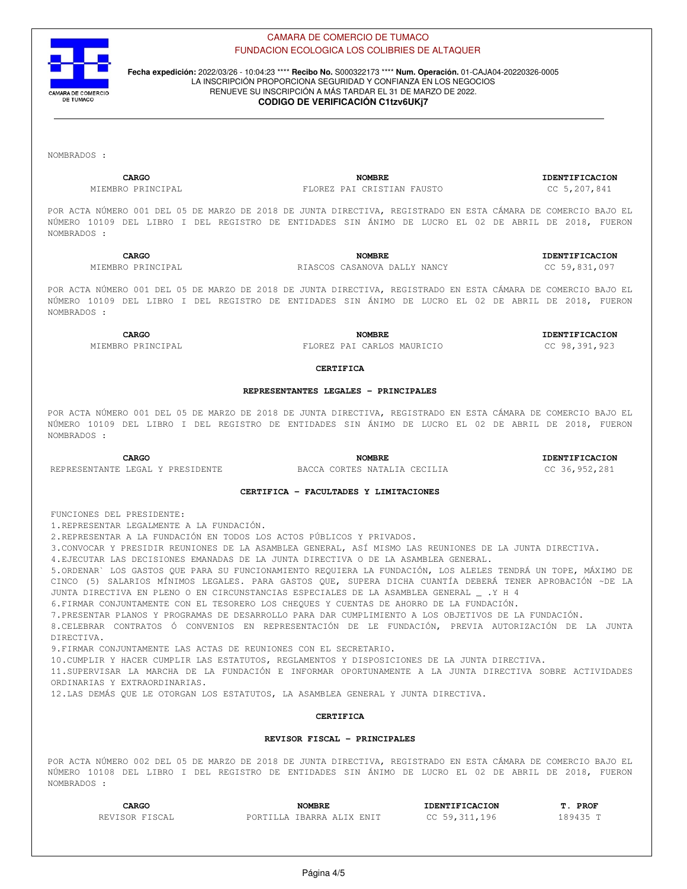

**Fecha expedición:** 2022/03/26 - 10:04:23 \*\*\*\* **Recibo No.** S000322173 \*\*\*\* **Num. Operación.** 01-CAJA04-20220326-0005 LA INSCRIPCIÓN PROPORCIONA SEGURIDAD Y CONFIANZA EN LOS NEGOCIOS RENUEVE SU INSCRIPCIÓN A MÁS TARDAR EL 31 DE MARZO DE 2022.

# **CODIGO DE VERIFICACIÓN C1tzv6UKj7**

NOMBRADOS :

**CARGO NOMBRE IDENTIFICACION**

MIEMBRO PRINCIPAL FLOREZ PAI CRISTIAN FAUSTO CC 5,207,841

POR ACTA NÚMERO 001 DEL 05 DE MARZO DE 2018 DE JUNTA DIRECTIVA, REGISTRADO EN ESTA CÁMARA DE COMERCIO BAJO EL NÚMERO 10109 DEL LIBRO I DEL REGISTRO DE ENTIDADES SIN ÁNIMO DE LUCRO EL 02 DE ABRIL DE 2018, FUERON NOMBRADOS :

**CARGO NOMBRE IDENTIFICACION** MIEMBRO PRINCIPAL RIASCOS CASANOVA DALLY NANCY CC 59,831,097

POR ACTA NÚMERO 001 DEL 05 DE MARZO DE 2018 DE JUNTA DIRECTIVA, REGISTRADO EN ESTA CÁMARA DE COMERCIO BAJO EL NÚMERO 10109 DEL LIBRO I DEL REGISTRO DE ENTIDADES SIN ÁNIMO DE LUCRO EL 02 DE ABRIL DE 2018, FUERON NOMBRADOS :

**CARGO NOMBRE IDENTIFICACION**

MIEMBRO PRINCIPAL FLOREZ PAI CARLOS MAURICIO CC 98,391,923

# **CERTIFICA**

# **REPRESENTANTES LEGALES - PRINCIPALES**

POR ACTA NÚMERO 001 DEL 05 DE MARZO DE 2018 DE JUNTA DIRECTIVA, REGISTRADO EN ESTA CÁMARA DE COMERCIO BAJO EL NÚMERO 10109 DEL LIBRO I DEL REGISTRO DE ENTIDADES SIN ÁNIMO DE LUCRO EL 02 DE ABRIL DE 2018, FUERON NOMBRADOS :

**CARGO NOMBRE IDENTIFICACION**

REPRESENTANTE LEGAL Y PRESIDENTE BACCA CORTES NATALIA CECILIA CORTES CC 36,952,281

# **CERTIFICA - FACULTADES Y LIMITACIONES**

FUNCIONES DEL PRESIDENTE:

1.REPRESENTAR LEGALMENTE A LA FUNDACIÓN.

2.REPRESENTAR A LA FUNDACIÓN EN TODOS LOS ACTOS PÚBLICOS Y PRIVADOS.

3.CONVOCAR Y PRESIDIR REUNIONES DE LA ASAMBLEA GENERAL, ASÍ MISMO LAS REUNIONES DE LA JUNTA DIRECTIVA.

4.EJECUTAR LAS DECISIONES EMANADAS DE LA JUNTA DIRECTIVA O DE LA ASAMBLEA GENERAL.

5.ORDENAR` LOS GASTOS QUE PARA SU FUNCIONAMIENTO REQUIERA LA FUNDACIÓN, LOS ALELES TENDRÁ UN TOPE, MÁXIMO DE CINCO (5) SALARIOS MÍNIMOS LEGALES. PARA GASTOS QUE, SUPERA DICHA CUANTÍA DEBERÁ TENER APROBACIÓN ~DE LA JUNTA DIRECTIVA EN PLENO O EN CIRCUNSTANCIAS ESPECIALES DE LA ASAMBLEA GENERAL \_ .Y H 4

6.FIRMAR CONJUNTAMENTE CON EL TESORERO LOS CHEQUES Y CUENTAS DE AHORRO DE LA FUNDACIÓN.

7.PRESENTAR PLANOS Y PROGRAMAS DE DESARROLLO PARA DAR CUMPLIMIENTO A LOS OBJETIVOS DE LA FUNDACIÓN.

8.CELEBRAR CONTRATOS Ó CONVENIOS EN REPRESENTACIÓN DE LE FUNDACIÓN, PREVIA AUTORIZACIÓN DE LA JUNTA DIRECTIVA.

9.FIRMAR CONJUNTAMENTE LAS ACTAS DE REUNIONES CON EL SECRETARIO.

10.CUMPLIR Y HACER CUMPLIR LAS ESTATUTOS, REGLAMENTOS Y DISPOSICIONES DE LA JUNTA DIRECTIVA.

11.SUPERVISAR LA MARCHA DE LA FUNDACIÓN E INFORMAR OPORTUNAMENTE A LA JUNTA DIRECTIVA SOBRE ACTIVIDADES ORDINARIAS Y EXTRAORDINARIAS.

12.LAS DEMÁS QUE LE OTORGAN LOS ESTATUTOS, LA ASAMBLEA GENERAL Y JUNTA DIRECTIVA.

# **CERTIFICA**

# **REVISOR FISCAL - PRINCIPALES**

POR ACTA NÚMERO 002 DEL 05 DE MARZO DE 2018 DE JUNTA DIRECTIVA, REGISTRADO EN ESTA CÁMARA DE COMERCIO BAJO EL NÚMERO 10108 DEL LIBRO I DEL REGISTRO DE ENTIDADES SIN ÁNIMO DE LUCRO EL 02 DE ABRIL DE 2018, FUERON NOMBRADOS :

| CARGO          | <b>NOMBRE</b>             | <b>IDENTIFICACION</b> | <b>PROF</b><br>m |
|----------------|---------------------------|-----------------------|------------------|
| REVISOR FISCAL | PORTILLA IBARRA ALIX ENIT | CC 59,311,196         | 189435 T         |